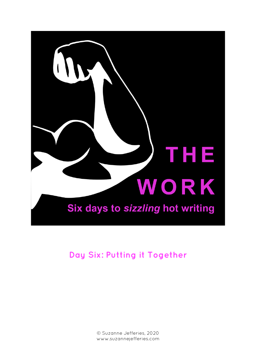

**Day Six: Putting it Together**

© Suzanne Jefferies, 2020 www.suzannejefferies.com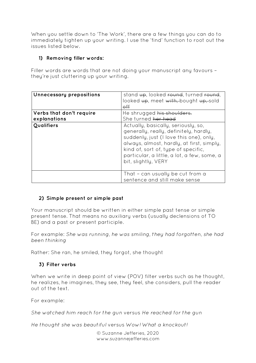When you settle down to 'The Work', there are a few things you can do to immediately tighten up your writing. I use the 'find' function to root out the issues listed below.

## **1) Removing filler words:**

Filler words are words that are not doing your manuscript any favours – they're just cluttering up your writing.

| Unnecessary prepositions                 | stand up, looked round, turned round,<br>looked up, meet with, bought up, sold<br>$\theta$                                                                                                                                                                                         |
|------------------------------------------|------------------------------------------------------------------------------------------------------------------------------------------------------------------------------------------------------------------------------------------------------------------------------------|
| Verbs that don't require<br>explanations | He shrugged his shoulders.<br>She turned her head                                                                                                                                                                                                                                  |
| Qualifiers                               | Actually, basically, seriously, so,<br>generally, really, definitely, hardly,<br>suddenly, just (I love this one), only,<br>always, almost, hardly, at first, simply,<br>kind of, sort of, type of specific,<br>particular, a little, a lot, a few, some, a<br>bit, slightly, VERY |
|                                          | That - can usually be cut from a<br>sentence and still make sense                                                                                                                                                                                                                  |

# **2) Simple present or simple past**

Your manuscript should be written in either simple past tense or simple present tense. That means no auxiliary verbs (usually declensions of TO BE) and a past or present participle.

For example: *She was running*, *he was smiling*, *they had forgotten*, *she had been thinking*

Rather: She ran, he smiled, they forgot, she thought

# **3) Filter verbs**

When we write in deep point of view (POV) filter verbs such as he thought, he realizes, he imagines, they see, they feel, she considers, pull the reader out of the text.

For example:

*She watched him reach for the gun* versus *He reached for the gun*

*He thought she was beautiful* versus *Wow! What a knockout!*

© Suzanne Jefferies, 2020 www.suzannejefferies.com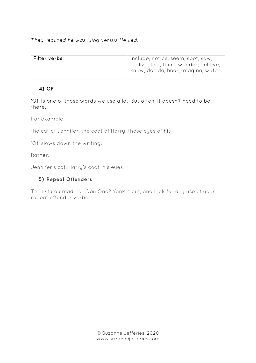*They realized he was lying* versus *He lied*.

| Filter verbs | Include, notice, seem, spot, saw,      |
|--------------|----------------------------------------|
|              | realize, feel, think, wonder, believe, |
|              | know, decide, hear, imagine, watch     |
|              |                                        |

# **4) OF**

'Of' is one of those words we use a lot. But often, it doesn't need to be there.

For example:

the cat of Jennifer, the coat of Harry, those eyes of his

'Of' slows down the writing.

Rather,

Jennifer's cat, Harry's coat, his eyes

## **5) Repeat Offenders**

The list you made on Day One? Yank it out, and look for any use of your repeat offender verbs.